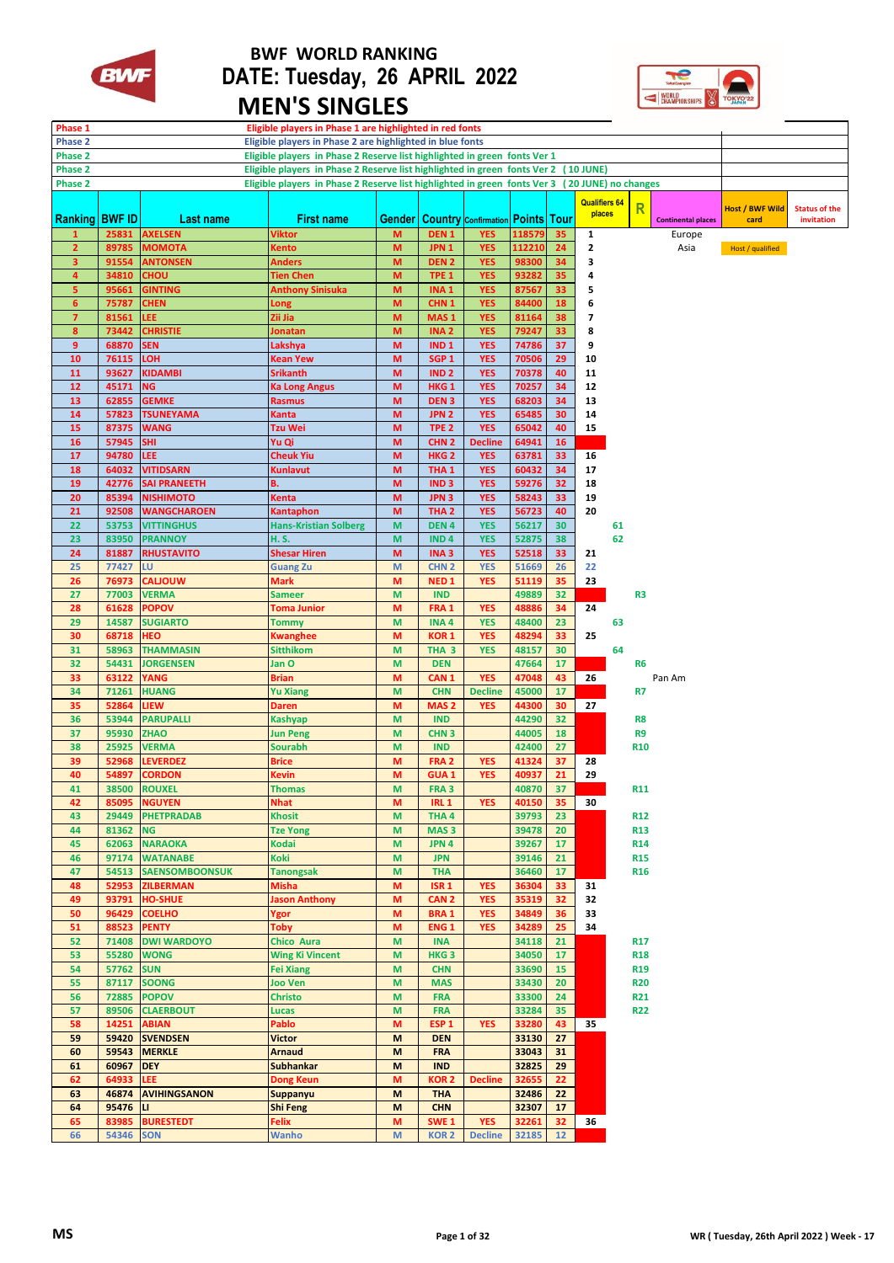

## **BWF WORLD RANKING BWF** DATE: Tuesday, 26 APRIL 2022  **MEN'S SINGLES**



| Phase 1                 |                |                       | Eligible players in Phase 1 are highlighted in red fonts                                       |                                                                                                            |                          |                                         |        |                 |                                |                 |                           |                        |                      |
|-------------------------|----------------|-----------------------|------------------------------------------------------------------------------------------------|------------------------------------------------------------------------------------------------------------|--------------------------|-----------------------------------------|--------|-----------------|--------------------------------|-----------------|---------------------------|------------------------|----------------------|
| Phase 2                 |                |                       | Eligible players in Phase 2 are highlighted in blue fonts                                      |                                                                                                            |                          |                                         |        |                 |                                |                 |                           |                        |                      |
| <b>Phase 2</b>          |                |                       | Eligible players in Phase 2 Reserve list highlighted in green fonts Ver 1                      |                                                                                                            |                          |                                         |        |                 |                                |                 |                           |                        |                      |
| <b>Phase 2</b>          |                |                       | Eligible players in Phase 2 Reserve list highlighted in green fonts Ver 2 (10 JUNE)            |                                                                                                            |                          |                                         |        |                 |                                |                 |                           |                        |                      |
| Phase 2                 |                |                       | Eligible players in Phase 2 Reserve list highlighted in green fonts Ver 3 (20 JUNE) no changes |                                                                                                            |                          |                                         |        |                 |                                |                 |                           |                        |                      |
|                         |                |                       |                                                                                                |                                                                                                            |                          |                                         |        |                 |                                |                 |                           |                        |                      |
|                         |                |                       |                                                                                                |                                                                                                            |                          |                                         |        |                 | <b>Qualifiers 64</b><br>places | R               |                           | <b>Host / BWF Wild</b> | <b>Status of the</b> |
| <b>Ranking BWF ID</b>   |                | Last name             | <b>First name</b>                                                                              | <b>Gender</b>                                                                                              |                          | <b>Country Confirmation Points Tour</b> |        |                 |                                |                 | <b>Continental places</b> | card                   | invitation           |
| $\mathbf{1}$            |                | 25831 AXELSEN         | <b>Viktor</b>                                                                                  | M                                                                                                          | DEN <sub>1</sub>         | <b>YES</b>                              | 118579 | 35              | $\mathbf{1}$                   |                 | Europe                    |                        |                      |
| $\overline{2}$          |                | 89785 MOMOTA          | Kento                                                                                          | $\mathsf{M}\xspace$                                                                                        | JPN <sub>1</sub>         | <b>YES</b>                              | 112210 | 24              | $\overline{\mathbf{2}}$        |                 | Asia                      | Host / qualified       |                      |
| 3                       |                | 91554 ANTONSEN        | <b>Anders</b>                                                                                  | $\mathsf{M}\xspace$                                                                                        | DEN <sub>2</sub>         | <b>YES</b>                              | 98300  | 34              | 3                              |                 |                           |                        |                      |
| $\overline{\mathbf{4}}$ | 34810          | <b>CHOU</b>           | <b>Tien Chen</b>                                                                               | M                                                                                                          | TPE <sub>1</sub>         | <b>YES</b>                              | 93282  | 35              | 4                              |                 |                           |                        |                      |
| 5                       | 95661          | <b>GINTING</b>        | <b>Anthony Sinisuka</b>                                                                        | M                                                                                                          | INA <sub>1</sub>         | <b>YES</b>                              | 87567  | 33              | 5                              |                 |                           |                        |                      |
| 6                       | 75787          | <b>CHEN</b>           | Long                                                                                           | M                                                                                                          | CHN <sub>1</sub>         | <b>YES</b>                              | 84400  | 18              | 6                              |                 |                           |                        |                      |
| $\overline{7}$          | 81561          | <b>LEE</b>            | Zii Jia                                                                                        | M                                                                                                          | MAS <sub>1</sub>         | <b>YES</b>                              | 81164  | 38              | $\overline{\phantom{a}}$       |                 |                           |                        |                      |
| 8                       | 73442          | <b>CHRISTIE</b>       | Jonatan                                                                                        | M                                                                                                          | INA <sub>2</sub>         | <b>YES</b>                              | 79247  | 33              | 8                              |                 |                           |                        |                      |
| $\overline{9}$          | 68870          | <b>SEN</b>            | Lakshya                                                                                        | M                                                                                                          | IND <sub>1</sub>         | <b>YES</b>                              | 74786  | 37              | 9                              |                 |                           |                        |                      |
| 10                      | 76115          | <b>LOH</b>            | <b>Kean Yew</b>                                                                                | M                                                                                                          | SGP <sub>1</sub>         | <b>YES</b>                              | 70506  | 29              | 10                             |                 |                           |                        |                      |
| 11                      | 93627          | <b>KIDAMBI</b>        | Srikanth                                                                                       | M                                                                                                          | IND <sub>2</sub>         | <b>YES</b>                              | 70378  | 40              | 11                             |                 |                           |                        |                      |
| 12                      | 45171          | <b>NG</b>             | <b>Ka Long Angus</b>                                                                           | M                                                                                                          | HKG <sub>1</sub>         | <b>YES</b>                              | 70257  | 34              | 12                             |                 |                           |                        |                      |
| 13                      | 62855          | <b>GEMKE</b>          | <b>Rasmus</b>                                                                                  | M                                                                                                          | DEN <sub>3</sub>         | <b>YES</b>                              | 68203  | 34              | 13                             |                 |                           |                        |                      |
| 14                      | 57823          | <b>TSUNEYAMA</b>      | Kanta                                                                                          | $\mathsf{M}% _{T}=\mathsf{M}_{T}\!\left( a,b\right) ,\ \mathsf{M}_{T}=\mathsf{M}_{T}$                      | JPN <sub>2</sub>         | <b>YES</b>                              | 65485  | 30              | 14                             |                 |                           |                        |                      |
| 15                      | 87375          | <b>WANG</b>           | Tzu Wei                                                                                        | M                                                                                                          | TPE <sub>2</sub>         | <b>YES</b>                              | 65042  | 40              | 15                             |                 |                           |                        |                      |
| 16                      | 57945          | <b>SHI</b>            | Yu Qi                                                                                          | M                                                                                                          | CHN <sub>2</sub>         | <b>Decline</b>                          | 64941  | 16              |                                |                 |                           |                        |                      |
| 17                      | 94780          | LEE                   | <b>Cheuk Yiu</b>                                                                               | M                                                                                                          | HKG <sub>2</sub>         | <b>YES</b>                              | 63781  | 33              | 16                             |                 |                           |                        |                      |
| 18                      | 64032          | <b>VITIDSARN</b>      | <b>Kunlavut</b>                                                                                | M                                                                                                          | THA <sub>1</sub>         | <b>YES</b>                              | 60432  | 34              | 17                             |                 |                           |                        |                      |
| 19                      | 42776          | <b>SAI PRANEETH</b>   | B.                                                                                             | M                                                                                                          | IND <sub>3</sub>         | <b>YES</b>                              | 59276  | 32              | 18                             |                 |                           |                        |                      |
| 20                      | 85394          | <b>NISHIMOTO</b>      | Kenta                                                                                          | M                                                                                                          | JPN <sub>3</sub>         | <b>YES</b>                              | 58243  | 33              | 19                             |                 |                           |                        |                      |
| 21                      | 92508          | <b>WANGCHAROEN</b>    | <b>Kantaphon</b>                                                                               | M                                                                                                          | THA <sub>2</sub>         | <b>YES</b>                              | 56723  | 40              | 20                             |                 |                           |                        |                      |
|                         |                |                       |                                                                                                |                                                                                                            |                          |                                         |        |                 |                                |                 |                           |                        |                      |
| 22<br>23                | 53753          | <b>VITTINGHUS</b>     | <b>Hans-Kristian Solberg</b>                                                                   | M                                                                                                          | DEN <sub>4</sub>         | <b>YES</b>                              | 56217  | 30              |                                | 61              |                           |                        |                      |
|                         | 83950          | <b>PRANNOY</b>        | H. S.                                                                                          | $\mathsf{M}\xspace$                                                                                        | IND <sub>4</sub>         | <b>YES</b>                              | 52875  | 38              |                                | 62              |                           |                        |                      |
| 24                      | 81887          | <b>RHUSTAVITO</b>     | <b>Shesar Hiren</b>                                                                            | M                                                                                                          | INA <sub>3</sub>         | <b>YES</b>                              | 52518  | 33              | 21                             |                 |                           |                        |                      |
| 25                      | 77427          | LU.                   | <b>Guang Zu</b>                                                                                | $\mathsf{M}% _{T}=\mathsf{M}_{T}\!\left( a,b\right) ,\ \mathsf{M}_{T}=\mathsf{M}_{T}\!\left( a,b\right) ,$ | CHN <sub>2</sub>         | <b>YES</b>                              | 51669  | 26              | 22                             |                 |                           |                        |                      |
| 26                      | 76973          | <b>CALIOUW</b>        | <b>Mark</b>                                                                                    | M                                                                                                          | <b>NED1</b>              | <b>YES</b>                              | 51119  | 35              | 23                             |                 |                           |                        |                      |
| 27                      | 77003          | <b>VERMA</b>          | <b>Sameer</b>                                                                                  | M                                                                                                          | <b>IND</b>               |                                         | 49889  | 32              |                                | R <sub>3</sub>  |                           |                        |                      |
| 28                      | 61628          | <b>POPOV</b>          | <b>Toma Junior</b>                                                                             | M                                                                                                          | FRA <sub>1</sub>         | <b>YES</b>                              | 48886  | 34              | 24                             |                 |                           |                        |                      |
| 29                      | 14587          | <b>SUGIARTO</b>       | <b>Tommy</b>                                                                                   | M                                                                                                          | INA4                     | <b>YES</b>                              | 48400  | 23              |                                | 63              |                           |                        |                      |
| 30                      | 68718          | <b>HEO</b>            | <b>Kwanghee</b>                                                                                | M                                                                                                          | KOR <sub>1</sub>         | YES                                     | 48294  | 33              | 25                             |                 |                           |                        |                      |
| 31                      | 58963          | <b>THAMMASIN</b>      | <b>Sitthikom</b>                                                                               | M                                                                                                          | THA <sub>3</sub>         | <b>YES</b>                              | 48157  | 30              |                                | 64              |                           |                        |                      |
| 32                      | 54431          | <b>JORGENSEN</b>      | Jan O                                                                                          | M                                                                                                          | <b>DEN</b>               |                                         | 47664  | 17              |                                | R <sub>6</sub>  |                           |                        |                      |
| 33                      | 63122          | <b>YANG</b>           | <b>Brian</b>                                                                                   | M                                                                                                          | CAN <sub>1</sub>         | <b>YES</b>                              | 47048  | 43              | 26                             |                 | Pan Am                    |                        |                      |
| 34                      | 71261          | <b>HUANG</b>          | <b>Yu Xiang</b>                                                                                | M                                                                                                          | <b>CHN</b>               | <b>Decline</b>                          | 45000  | 17              |                                | R7              |                           |                        |                      |
| 35                      | 52864          | <b>LIEW</b>           | <b>Daren</b>                                                                                   | M                                                                                                          | MAS <sub>2</sub>         | <b>YES</b>                              | 44300  | 30              | 27                             |                 |                           |                        |                      |
| 36                      | 53944          | <b>PARUPALLI</b>      | <b>Kashyap</b>                                                                                 | M                                                                                                          | <b>IND</b>               |                                         | 44290  | 32              |                                | R8              |                           |                        |                      |
| 37                      | 95930          | <b>ZHAO</b>           | <b>Jun Peng</b>                                                                                | M                                                                                                          | CHN <sub>3</sub>         |                                         | 44005  | 18              |                                | R9              |                           |                        |                      |
| 38                      | 25925          | <b>VERMA</b>          | <b>Sourabh</b>                                                                                 | M                                                                                                          | <b>IND</b>               |                                         | 42400  | 27              |                                | <b>R10</b>      |                           |                        |                      |
| 39                      | 52968          | <b>LEVERDEZ</b>       | <b>Brice</b>                                                                                   | M                                                                                                          | FRA <sub>2</sub>         | <b>YES</b>                              | 41324  | 37              | 28                             |                 |                           |                        |                      |
| 40                      | 54897          | <b>CORDON</b>         | <b>Kevin</b>                                                                                   | M                                                                                                          | GUA <sub>1</sub>         | <b>YES</b>                              | 40937  | 21              | 29                             |                 |                           |                        |                      |
| 41                      |                | <b>38500 ROUXEL</b>   | <b>Thomas</b>                                                                                  | M                                                                                                          | FRA <sub>3</sub>         |                                         | 40870  | 37              |                                | <b>R11</b>      |                           |                        |                      |
| 42                      | 85095          | <b>NGUYEN</b>         | Nhat                                                                                           | M                                                                                                          | <b>IRL1</b>              | <b>YES</b>                              | 40150  | 35              | 30                             |                 |                           |                        |                      |
| 43                      | 29449          | <b>PHETPRADAB</b>     | <b>Khosit</b>                                                                                  | M                                                                                                          | THA4                     |                                         | 39793  | 23              |                                | R <sub>12</sub> |                           |                        |                      |
| 44                      | 81362          | <b>NG</b>             | <b>Tze Yong</b>                                                                                | M                                                                                                          | MAS <sub>3</sub>         |                                         | 39478  | 20              |                                | <b>R13</b>      |                           |                        |                      |
| 45                      | 62063          | <b>NARAOKA</b>        | Kodai                                                                                          | M                                                                                                          | JPN 4                    |                                         | 39267  | 17 <sup>2</sup> |                                | <b>R14</b>      |                           |                        |                      |
| 46                      | 97174          | <b>WATANABE</b>       | Koki                                                                                           | M                                                                                                          | <b>JPN</b>               |                                         | 39146  | 21              |                                | <b>R15</b>      |                           |                        |                      |
| 47                      | 54513          | <b>SAENSOMBOONSUK</b> | <b>Tanongsak</b>                                                                               | $\mathsf{M}$                                                                                               | <b>THA</b>               |                                         | 36460  | 17              |                                | <b>R16</b>      |                           |                        |                      |
| 48                      | 52953          | <b>ZILBERMAN</b>      | Misha                                                                                          | M                                                                                                          | ISR <sub>1</sub>         | <b>YES</b>                              | 36304  | 33              | 31                             |                 |                           |                        |                      |
| 49                      | 93791          | <b>HO-SHUE</b>        | <b>Jason Anthony</b>                                                                           | M                                                                                                          | CAN <sub>2</sub>         | <b>YES</b>                              | 35319  | 32              | 32                             |                 |                           |                        |                      |
| 50                      | 96429          | <b>COELHO</b>         | Ygor                                                                                           | M                                                                                                          | <b>BRA1</b>              | YES                                     | 34849  | 36              | 33                             |                 |                           |                        |                      |
| 51                      | 88523          | <b>PENTY</b>          | <b>Toby</b>                                                                                    | $\mathsf{M}\xspace$                                                                                        | ENG <sub>1</sub>         | <b>YES</b>                              | 34289  | 25              | 34                             |                 |                           |                        |                      |
| 52                      | 71408          | <b>DWI WARDOYO</b>    | <b>Chico Aura</b>                                                                              | M                                                                                                          | <b>INA</b>               |                                         | 34118  | 21              |                                | <b>R17</b>      |                           |                        |                      |
| 53                      | 55280          | <b>WONG</b>           | <b>Wing Ki Vincent</b>                                                                         | $\mathsf{M}$                                                                                               | HKG <sub>3</sub>         |                                         | 34050  | 17 <sup>2</sup> |                                | <b>R18</b>      |                           |                        |                      |
| 54                      | 57762          | <b>SUN</b>            | <b>Fei Xiang</b>                                                                               | M                                                                                                          | <b>CHN</b>               |                                         | 33690  | 15              |                                | <b>R19</b>      |                           |                        |                      |
| 55                      | 87117          | <b>SOONG</b>          | <b>Joo Ven</b>                                                                                 | M                                                                                                          | <b>MAS</b>               |                                         | 33430  | 20 <sub>2</sub> |                                | <b>R20</b>      |                           |                        |                      |
| 56                      | 72885          | <b>POPOV</b>          | <b>Christo</b>                                                                                 | M                                                                                                          | <b>FRA</b>               |                                         | 33300  | 24              |                                | <b>R21</b>      |                           |                        |                      |
| 57                      | 89506          | <b>CLAERBOUT</b>      | <b>Lucas</b>                                                                                   | M                                                                                                          | <b>FRA</b>               |                                         | 33284  | 35              |                                | <b>R22</b>      |                           |                        |                      |
| 58                      | 14251          | <b>ABIAN</b>          | Pablo                                                                                          | M                                                                                                          | ESP <sub>1</sub>         | YES                                     | 33280  | 43              | 35                             |                 |                           |                        |                      |
|                         |                |                       |                                                                                                |                                                                                                            |                          |                                         | 33130  |                 |                                |                 |                           |                        |                      |
| 59<br>60                | 59420<br>59543 | <b>SVENDSEN</b>       | <b>Victor</b>                                                                                  | M<br>M                                                                                                     | <b>DEN</b><br><b>FRA</b> |                                         | 33043  | 27<br>31        |                                |                 |                           |                        |                      |
|                         | 60967          | <b>MERKLE</b>         | <b>Arnaud</b>                                                                                  |                                                                                                            | <b>IND</b>               |                                         | 32825  | 29              |                                |                 |                           |                        |                      |
| 61                      |                | <b>DEY</b>            | <b>Subhankar</b>                                                                               | M                                                                                                          |                          |                                         |        |                 |                                |                 |                           |                        |                      |
| 62                      | 64933          | <b>LEE</b>            | <b>Dong Keun</b>                                                                               | M                                                                                                          | <b>KOR2</b>              | <b>Decline</b>                          | 32655  | 22 <sub>2</sub> |                                |                 |                           |                        |                      |
| 63                      | 46874          | <b>AVIHINGSANON</b>   | <b>Suppanyu</b>                                                                                | M                                                                                                          | <b>THA</b>               |                                         | 32486  | 22              |                                |                 |                           |                        |                      |
| 64                      | 95476          | $\mathbf{H}$          | <b>Shi Feng</b>                                                                                | M                                                                                                          | <b>CHN</b>               |                                         | 32307  | 17              |                                |                 |                           |                        |                      |
| 65                      | 83985          | <b>BURESTEDT</b>      | <b>Felix</b>                                                                                   | M                                                                                                          | SWE <sub>1</sub>         | YES                                     | 32261  | 32 <sub>2</sub> | 36                             |                 |                           |                        |                      |
| 66                      | 54346          | <b>SON</b>            | <b>Wanho</b>                                                                                   | M                                                                                                          | <b>KOR2</b>              | <b>Decline</b>                          | 32185  | 12              |                                |                 |                           |                        |                      |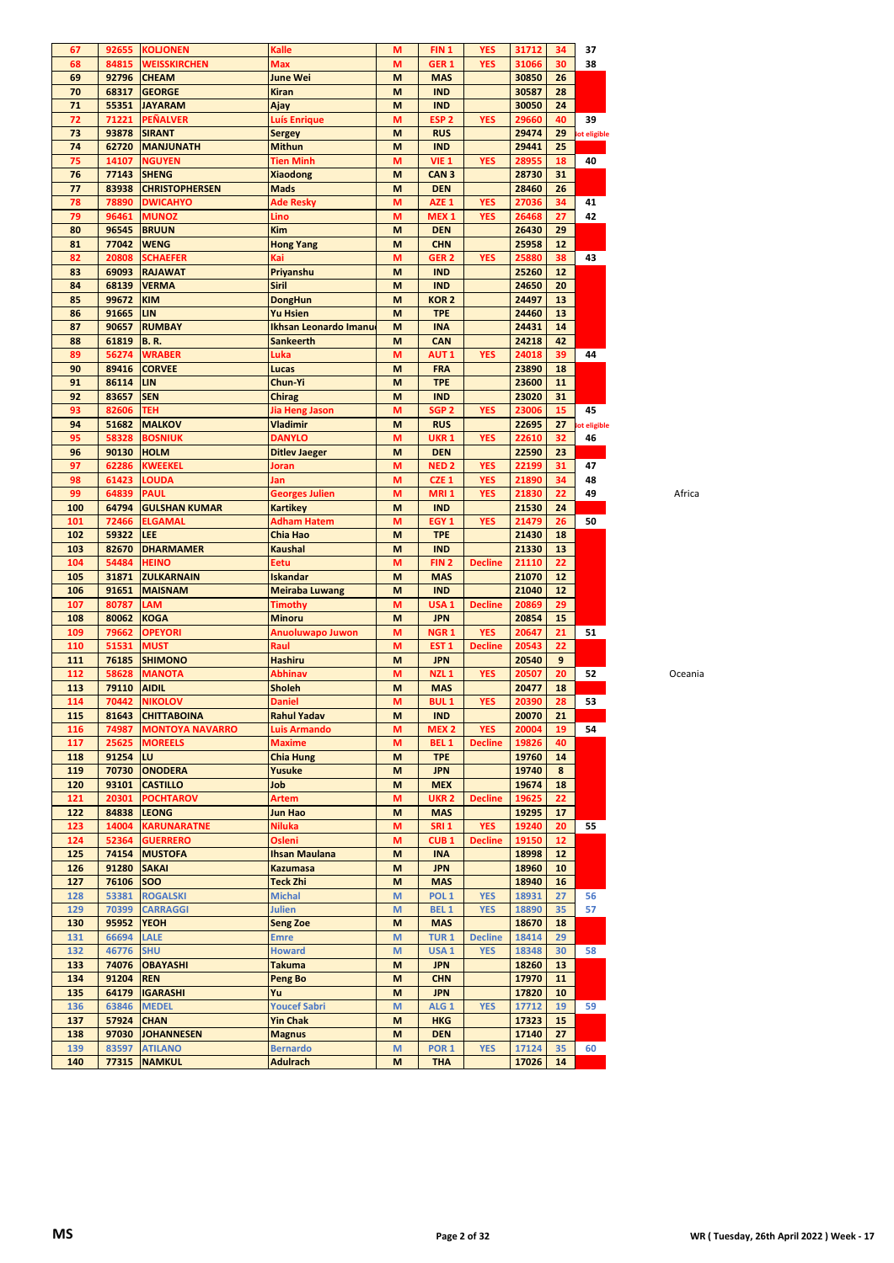| 67         | 92655          | <b>KOLJONEN</b>                 | Kalle                              | M      | FIN <sub>1</sub>           | <b>YES</b>     | 31712          | 34       | 37           |         |
|------------|----------------|---------------------------------|------------------------------------|--------|----------------------------|----------------|----------------|----------|--------------|---------|
|            |                |                                 |                                    |        |                            |                |                |          |              |         |
| 68         | 84815          | <b>WEISSKIRCHEN</b>             | <b>Max</b>                         | M      | GER <sub>1</sub>           | <b>YES</b>     | 31066          | 30       | 38           |         |
| 69         | 92796          | <b>CHEAM</b>                    | <b>June Wei</b>                    | M      | <b>MAS</b>                 |                | 30850          | 26       |              |         |
| 70         | 68317          | <b>GEORGE</b>                   | <b>Kiran</b>                       | M      | <b>IND</b>                 |                | 30587          | 28       |              |         |
| 71         | 55351          | <b>JAYARAM</b>                  | Ajay                               | M      | <b>IND</b>                 |                | 30050          | 24       |              |         |
| 72         | 71221          | <b>PEÑALVER</b>                 | Luís Enrique                       | M      | ESP <sub>2</sub>           | <b>YES</b>     | 29660          | 40       | 39           |         |
| 73         | 93878          | <b>SIRANT</b>                   | <b>Sergey</b>                      | M      | <b>RUS</b>                 |                | 29474          | 29       | lot eligible |         |
| 74         | 62720          | <b>MANJUNATH</b>                | <b>Mithun</b>                      | M      | <b>IND</b>                 |                | 29441          | 25       |              |         |
| 75         | 14107          | <b>NGUYEN</b>                   | Tien Minh                          | M      | <b>VIE 1</b>               | <b>YES</b>     | 28955          | 18       | 40           |         |
|            |                |                                 |                                    |        |                            |                |                |          |              |         |
| 76         | 77143          | <b>SHENG</b>                    | <b>Xiaodong</b>                    | M      | CAN <sub>3</sub>           |                | 28730          | 31       |              |         |
| 77         | 83938          | <b>CHRISTOPHERSEN</b>           | <b>Mads</b>                        | M      | <b>DEN</b>                 |                | 28460          | 26       |              |         |
| 78         | 78890          | <b>DWICAHYO</b>                 | Ade Resky                          | М      | AZE <sub>1</sub>           | <b>YES</b>     | 27036          | 34       | 41           |         |
| 79         | 96461          | <b>MUNOZ</b>                    | Lino                               | M      | MEX <sub>1</sub>           | <b>YES</b>     | 26468          | 27       | 42           |         |
| 80         | 96545          | <b>BRUUN</b>                    | Kim                                | M      | <b>DEN</b>                 |                | 26430          | 29       |              |         |
| 81         | 77042          | <b>WENG</b>                     | <b>Hong Yang</b>                   | M      | <b>CHN</b>                 |                | 25958          | 12       |              |         |
| 82         | 20808          | <b>SCHAEFER</b>                 | Kai                                | M      | GER <sub>2</sub>           | <b>YES</b>     | 25880          | 38       | 43           |         |
|            |                |                                 |                                    |        |                            |                |                | 12       |              |         |
| 83         | 69093          | <b>RAJAWAT</b>                  | Priyanshu                          | M      | <b>IND</b>                 |                | 25260          |          |              |         |
| 84         | 68139          | <b>VERMA</b>                    | Siril                              | M      | <b>IND</b>                 |                | 24650          | 20       |              |         |
| 85         | 99672          | <b>KIM</b>                      | <b>DongHun</b>                     | M      | KOR <sub>2</sub>           |                | 24497          | 13       |              |         |
| 86         | 91665          | <b>LIN</b>                      | Yu Hsien                           | M      | <b>TPE</b>                 |                | 24460          | 13       |              |         |
| 87         | 90657          | <b>RUMBAY</b>                   | Ikhsan Leonardo Imanu              | M      | <b>INA</b>                 |                | 24431          | 14       |              |         |
| 88         | 61819          | <b>B.R.</b>                     | <b>Sankeerth</b>                   | M      | CAN                        |                | 24218          | 42       |              |         |
| 89         | 56274          | <b>WRABER</b>                   | Luka                               | M      | <b>AUT1</b>                | <b>YES</b>     | 24018          | 39       | 44           |         |
| 90         | 89416          | <b>CORVEE</b>                   | Lucas                              | M      | <b>FRA</b>                 |                | 23890          | 18       |              |         |
|            |                |                                 |                                    |        |                            |                |                |          |              |         |
| 91         | 86114          | <b>LIN</b>                      | Chun-Yi                            | M      | <b>TPE</b>                 |                | 23600          | 11       |              |         |
| 92         | 83657          | <b>SEN</b>                      | Chirag                             | M      | <b>IND</b>                 |                | 23020          | 31       |              |         |
| 93         | 82606          | <b>TEH</b>                      | Jia Heng Jason                     | M      | SGP <sub>2</sub>           | <b>YES</b>     | 23006          | 15       | 45           |         |
| 94         | 51682          | <b>MALKOV</b>                   | Vladimir                           | M      | <b>RUS</b>                 |                | 22695          | 27       | ot eligible  |         |
| 95         | 58328          | <b>BOSNIUK</b>                  | <b>DANYLO</b>                      | M      | UKR <sub>1</sub>           | <b>YES</b>     | 22610          | 32       | 46           |         |
| 96         | 90130          | <b>HOLM</b>                     | <b>Ditlev Jaeger</b>               | M      | <b>DEN</b>                 |                | 22590          | 23       |              |         |
| 97         | 62286          |                                 |                                    | M      |                            |                | 22199          | 31       | 47           |         |
|            |                | <b>KWEEKEL</b>                  | loran                              |        | <b>NED 2</b>               | <b>YES</b>     |                |          |              |         |
| 98         | 61423          | <b>LOUDA</b>                    | Jan                                | M      | CZE 1                      | <b>YES</b>     | 21890          | 34       | 48           |         |
| 99         | 64839          | <b>PAUL</b>                     | <b>Georges Julien</b>              | M      | <b>MRI1</b>                | <b>YES</b>     | 21830          | 22       | 49           | Africa  |
| 100        | 64794          | <b>GULSHAN KUMAR</b>            | <b>Kartikey</b>                    | M      | <b>IND</b>                 |                | 21530          | 24       |              |         |
| 101        | 72466          | <b>ELGAMAL</b>                  | <b>Adham Hatem</b>                 | M      | EGY <sub>1</sub>           | <b>YES</b>     | 21479          | 26       | 50           |         |
| 102        | 59322          | LEE                             | Chia Hao                           | M      | <b>TPE</b>                 |                | 21430          | 18       |              |         |
| 103        | 82670          | <b>DHARMAMER</b>                | Kaushal                            | M      | <b>IND</b>                 |                | 21330          | 13       |              |         |
|            |                |                                 |                                    |        |                            |                |                |          |              |         |
|            |                |                                 |                                    |        |                            |                |                |          |              |         |
| 104        | 54484          | <b>HEINO</b>                    | Eetu                               | M      | FIN <sub>2</sub>           | <b>Decline</b> | 21110          | 22       |              |         |
| 105        | 31871          | <b>ZULKARNAIN</b>               | <b>Iskandar</b>                    | M      | <b>MAS</b>                 |                | 21070          | 12       |              |         |
| 106        | 91651          | <b>MAISNAM</b>                  | <b>Meiraba Luwang</b>              | M      | <b>IND</b>                 |                | 21040          | 12       |              |         |
| 107        | 80787          | LAM                             | Timothy                            | M      | USA <sub>1</sub>           | <b>Decline</b> | 20869          | 29       |              |         |
| 108        | 80062          | <b>KOGA</b>                     | <b>Minoru</b>                      | M      | <b>JPN</b>                 |                | 20854          | 15       |              |         |
| 109        | 79662          | <b>OPEYORI</b>                  | Anuoluwapo Juwon                   | M      | NGR <sub>1</sub>           | <b>YES</b>     | 20647          | 21       | 51           |         |
|            |                |                                 |                                    |        |                            |                |                |          |              |         |
| 110        | 51531          | <b>MUST</b>                     | Raul                               | M      | EST <sub>1</sub>           | <b>Decline</b> | 20543          | 22       |              |         |
| 111        | 76185          | <b>SHIMONO</b>                  | <b>Hashiru</b>                     | M      | <b>JPN</b>                 |                | 20540          | 9        |              |         |
| 112        | 58628          | <b>MANOTA</b>                   | <b>Abhinav</b>                     | M      | NZL <sub>1</sub>           | <b>YES</b>     | 20507          | 20       | 52           |         |
| 113        | 79110          | <b>AIDIL</b>                    | Sholeh                             | M      | <b>MAS</b>                 |                | 20477          | 18       |              |         |
| 114        | 70442          | <b>NIKOLOV</b>                  | Daniel                             | M      | <b>BUL1</b>                | <b>YES</b>     | 20390          | 28       | 53           |         |
| 115        |                | 81643 CHITTABOINA               | <b>Rahul Yadav</b>                 | M      | <b>IND</b>                 |                | 20070          | 21       |              |         |
| 116        | 74987          | <b>MONTOYA NAVARRO</b>          | Luis Armando                       | M      | MEX <sub>2</sub>           | <b>YES</b>     | 20004          | 19       | 54           |         |
| 117        | 25625          | <b>MOREELS</b>                  | <b>Maxime</b>                      | M      | BEL <sub>1</sub>           |                |                | 40       |              |         |
|            |                |                                 |                                    |        |                            | <b>Decline</b> | 19826          |          |              |         |
| 118        | 91254          | <b>LU</b>                       | Chia Hung                          | M      | <b>TPE</b>                 |                | 19760          | 14       |              |         |
| 119        | 70730          | <b>ONODERA</b>                  | Yusuke                             | M      | <b>JPN</b>                 |                | 19740          | 8        |              |         |
| 120        | 93101          | <b>CASTILLO</b>                 | Job                                | M      | <b>MEX</b>                 |                | 19674          | 18       |              | Oceania |
| 121        | 20301          | <b>POCHTAROV</b>                | <b>Artem</b>                       | M      | <b>UKR 2</b>               | <b>Decline</b> | 19625          | 22       |              |         |
| 122        | 84838          | <b>LEONG</b>                    | Jun Hao                            | M      | <b>MAS</b>                 |                | 19295          | 17       |              |         |
| 123        | 14004          | <b>KARUNARATNE</b>              | <b>Niluka</b>                      | M      | <b>SRI 1</b>               | <b>YES</b>     | 19240          | 20       | 55           |         |
| 124        | 52364          | <b>GUERRERO</b>                 | Osleni                             | M      | CUB <sub>1</sub>           | <b>Decline</b> | 19150          | 12       |              |         |
|            |                |                                 |                                    |        |                            |                |                |          |              |         |
| 125        | 74154          | <b>MUSTOFA</b>                  | <b>Ihsan Maulana</b>               | M      | <b>INA</b>                 |                | 18998          | 12       |              |         |
| 126        | 91280          | <b>SAKAI</b>                    | <b>Kazumasa</b>                    | M      | <b>JPN</b>                 |                | 18960          | 10       |              |         |
| 127        | 76106          | <b>SOO</b>                      | <b>Teck Zhi</b>                    | M      | <b>MAS</b>                 |                | 18940          | 16       |              |         |
| 128        | 53381          | <b>ROGALSKI</b>                 | <b>Michal</b>                      | M      | POL <sub>1</sub>           | <b>YES</b>     | 18931          | 27       | 56           |         |
| 129        | 70399          | <b>CARRAGGI</b>                 | Julien                             | M      | BEL <sub>1</sub>           | <b>YES</b>     | 18890          | 35       | 57           |         |
| 130        | 95952          | <b>YEOH</b>                     | Seng Zoe                           | M      | <b>MAS</b>                 |                | 18670          | 18       |              |         |
| 131        | 66694          | <b>LALE</b>                     | <b>Emre</b>                        | M      | <b>TUR1</b>                | <b>Decline</b> | 18414          | 29       |              |         |
|            |                |                                 |                                    |        |                            |                |                |          |              |         |
| 132        | 46776          | <b>SHU</b>                      | <b>Howard</b>                      | M      | USA <sub>1</sub>           | <b>YES</b>     | 18348          | 30       | 58           |         |
| 133        | 74076          | <b>OBAYASHI</b>                 | <b>Takuma</b>                      | M      | <b>JPN</b>                 |                | 18260          | 13       |              |         |
| 134        | 91204          | <b>REN</b>                      | Peng Bo                            | M      | <b>CHN</b>                 |                | 17970          | 11       |              |         |
| 135        | 64179          | <b>IGARASHI</b>                 | Yu                                 | M      | <b>JPN</b>                 |                | 17820          | 10       |              |         |
| 136        | 63846          | <b>MEDEL</b>                    | <b>Youcef Sabri</b>                | M      | ALG <sub>1</sub>           | <b>YES</b>     | 17712          | 19       | 59           |         |
| 137        | 57924 CHAN     |                                 | <b>Yin Chak</b>                    | M      | <b>HKG</b>                 |                | 17323          | 15       |              |         |
| 138        | 97030          | <b>JOHANNESEN</b>               | <b>Magnus</b>                      | M      | <b>DEN</b>                 |                | 17140          | 27       |              |         |
|            |                |                                 |                                    |        |                            |                |                |          |              |         |
| 139<br>140 | 83597<br>77315 | <b>ATILANO</b><br><b>NAMKUL</b> | <b>Bernardo</b><br><b>Adulrach</b> | M<br>M | <b>POR 1</b><br><b>THA</b> | <b>YES</b>     | 17124<br>17026 | 35<br>14 | 60           |         |